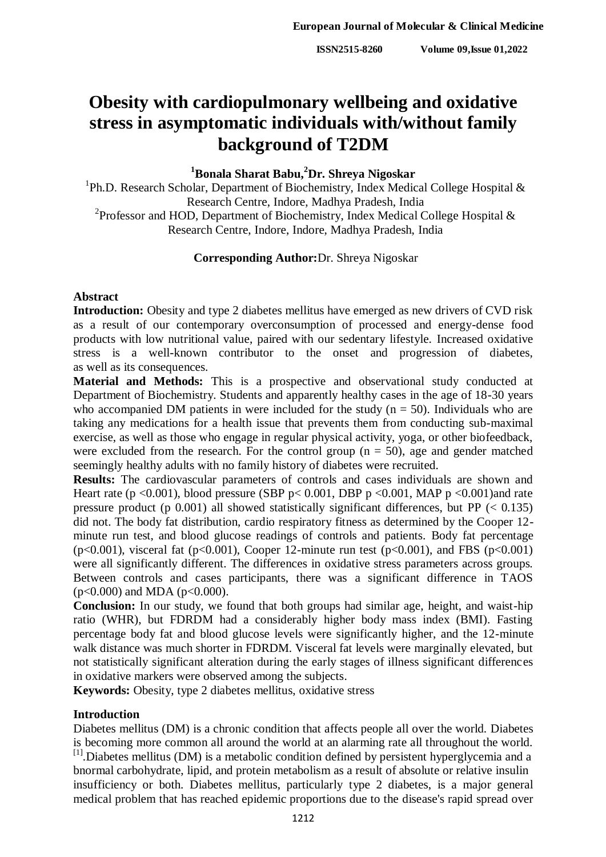# **Obesity with cardiopulmonary wellbeing and oxidative stress in asymptomatic individuals with/without family background of T2DM**

## **<sup>1</sup>Bonala Sharat Babu,<sup>2</sup>Dr. Shreya Nigoskar**

<sup>1</sup>Ph.D. Research Scholar, Department of Biochemistry, Index Medical College Hospital & Research Centre, Indore, Madhya Pradesh, India <sup>2</sup> Professor and HOD, Department of Biochemistry, Index Medical College Hospital  $\&$ Research Centre, Indore, Indore, Madhya Pradesh, India

#### **Corresponding Author:**Dr. Shreya Nigoskar

#### **Abstract**

**Introduction:** Obesity and type 2 diabetes mellitus have emerged as new drivers of CVD risk as a result of our contemporary overconsumption of processed and energy-dense food products with low nutritional value, paired with our sedentary lifestyle. Increased oxidative stress is a well-known contributor to the onset and progression of diabetes, as well as its consequences.

**Material and Methods:** This is a prospective and observational study conducted at Department of Biochemistry. Students and apparently healthy cases in the age of 18-30 years who accompanied DM patients in were included for the study ( $n = 50$ ). Individuals who are taking any medications for a health issue that prevents them from conducting sub-maximal exercise, as well as those who engage in regular physical activity, yoga, or other biofeedback, were excluded from the research. For the control group  $(n = 50)$ , age and gender matched seemingly healthy adults with no family history of diabetes were recruited.

**Results:** The cardiovascular parameters of controls and cases individuals are shown and Heart rate (p <0.001), blood pressure (SBP p < 0.001, DBP p <0.001, MAP p <0.001)and rate pressure product (p  $0.001$ ) all showed statistically significant differences, but PP ( $< 0.135$ ) did not. The body fat distribution, cardio respiratory fitness as determined by the Cooper 12 minute run test, and blood glucose readings of controls and patients. Body fat percentage ( $p<0.001$ ), visceral fat ( $p<0.001$ ), Cooper 12-minute run test ( $p<0.001$ ), and FBS ( $p<0.001$ ) were all significantly different. The differences in oxidative stress parameters across groups. Between controls and cases participants, there was a significant difference in TAOS  $(p<0.000)$  and MDA  $(p<0.000)$ .

**Conclusion:** In our study, we found that both groups had similar age, height, and waist-hip ratio (WHR), but FDRDM had a considerably higher body mass index (BMI). Fasting percentage body fat and blood glucose levels were significantly higher, and the 12-minute walk distance was much shorter in FDRDM. Visceral fat levels were marginally elevated, but not statistically significant alteration during the early stages of illness significant differences in oxidative markers were observed among the subjects.

**Keywords:** Obesity, type 2 diabetes mellitus, oxidative stress

#### **Introduction**

Diabetes mellitus (DM) is a chronic condition that affects people all over the world. Diabetes is becoming more common all around the world at an alarming rate all throughout the world. [1]. Diabetes mellitus (DM) is a metabolic condition defined by persistent hyperglycemia and a bnormal carbohydrate, lipid, and protein metabolism as a result of absolute or relative insulin insufficiency or both. Diabetes mellitus, particularly type 2 diabetes, is a major general medical problem that has reached epidemic proportions due to the disease's rapid spread over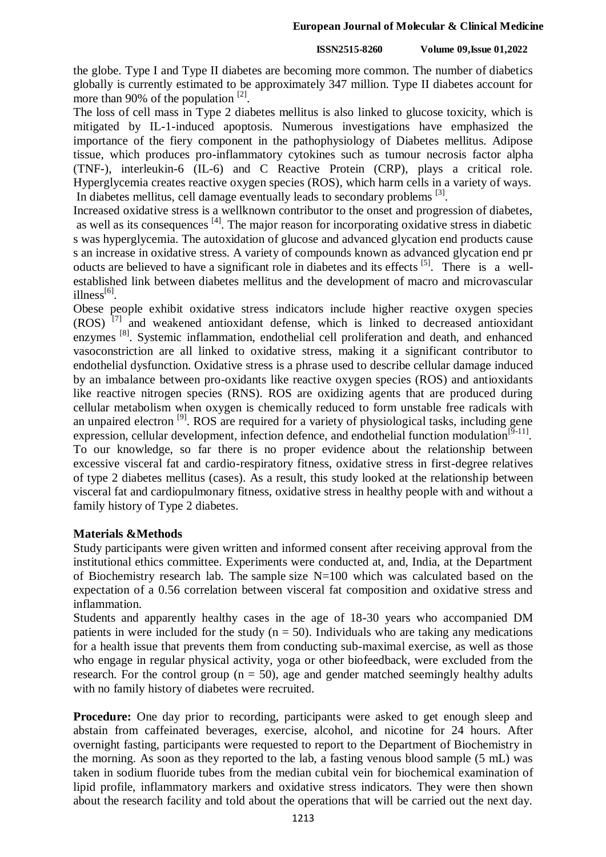the globe. Type I and Type II diabetes are becoming more common. The number of diabetics globally is currently estimated to be approximately 347 million. Type II diabetes account for more than 90% of the population  $^{[2]}$ .

The loss of cell mass in Type 2 diabetes mellitus is also linked to glucose toxicity, which is mitigated by IL-1-induced apoptosis. Numerous investigations have emphasized the importance of the fiery component in the pathophysiology of Diabetes mellitus. Adipose tissue, which produces pro-inflammatory cytokines such as tumour necrosis factor alpha (TNF-), interleukin-6 (IL-6) and C Reactive Protein (CRP), plays a critical role. Hyperglycemia creates reactive oxygen species (ROS), which harm cells in a variety of ways. In diabetes mellitus, cell damage eventually leads to secondary problems <sup>[3]</sup>.

Increased oxidative stress is a wellknown contributor to the onset and progression of diabetes, as well as its consequences [4]. The major reason for incorporating oxidative stress in diabetic s was hyperglycemia. The autoxidation of glucose and advanced glycation end products cause s an increase in oxidative stress. A variety of compounds known as advanced glycation end pr oducts are believed to have a significant role in diabetes and its effects [5]. There is a wellestablished link between diabetes mellitus and the development of macro and microvascular  $illness<sup>[6]</sup>$ .

Obese people exhibit oxidative stress indicators include higher reactive oxygen species  $(ROS)$ <sup>[7]</sup> and weakened antioxidant defense, which is linked to decreased antioxidant enzymes<sup>[8]</sup>. Systemic inflammation, endothelial cell proliferation and death, and enhanced vasoconstriction are all linked to oxidative stress, making it a significant contributor to endothelial dysfunction. Oxidative stress is a phrase used to describe cellular damage induced by an imbalance between pro-oxidants like reactive oxygen species (ROS) and antioxidants like reactive nitrogen species (RNS). ROS are oxidizing agents that are produced during cellular metabolism when oxygen is chemically reduced to form unstable free radicals with an unpaired electron<sup>[9]</sup>. ROS are required for a variety of physiological tasks, including gene expression, cellular development, infection defence, and endothelial function modulation<sup>[9-11]</sup>. To our knowledge, so far there is no proper evidence about the relationship between excessive visceral fat and cardio-respiratory fitness, oxidative stress in first-degree relatives of type 2 diabetes mellitus (cases). As a result, this study looked at the relationship between visceral fat and cardiopulmonary fitness, oxidative stress in healthy people with and without a family history of Type 2 diabetes.

## **Materials &Methods**

Study participants were given written and informed consent after receiving approval from the institutional ethics committee. Experiments were conducted at, and, India, at the Department of Biochemistry research lab. The sample size  $N=100$  which was calculated based on the expectation of a 0.56 correlation between visceral fat composition and oxidative stress and inflammation.

Students and apparently healthy cases in the age of 18-30 years who accompanied DM patients in were included for the study ( $n = 50$ ). Individuals who are taking any medications for a health issue that prevents them from conducting sub-maximal exercise, as well as those who engage in regular physical activity, yoga or other biofeedback, were excluded from the research. For the control group ( $n = 50$ ), age and gender matched seemingly healthy adults with no family history of diabetes were recruited.

**Procedure:** One day prior to recording, participants were asked to get enough sleep and abstain from caffeinated beverages, exercise, alcohol, and nicotine for 24 hours. After overnight fasting, participants were requested to report to the Department of Biochemistry in the morning. As soon as they reported to the lab, a fasting venous blood sample (5 mL) was taken in sodium fluoride tubes from the median cubital vein for biochemical examination of lipid profile, inflammatory markers and oxidative stress indicators. They were then shown about the research facility and told about the operations that will be carried out the next day.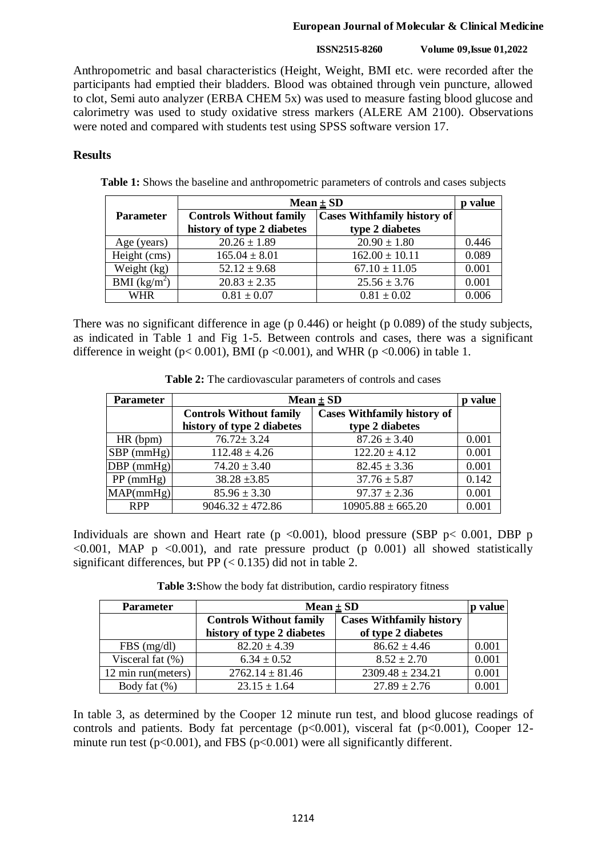#### **European Journal of Molecular & Clinical Medicine**

#### **ISSN2515-8260 Volume 09,Issue 01,2022**

Anthropometric and basal characteristics (Height, Weight, BMI etc. were recorded after the participants had emptied their bladders. Blood was obtained through vein puncture, allowed to clot, Semi auto analyzer (ERBA CHEM 5x) was used to measure fasting blood glucose and calorimetry was used to study oxidative stress markers (ALERE AM 2100). Observations were noted and compared with students test using SPSS software version 17.

### **Results**

**Table 1:** Shows the baseline and anthropometric parameters of controls and cases subjects

|                  | Mean $\pm$ SD                  |                                    | value |
|------------------|--------------------------------|------------------------------------|-------|
| <b>Parameter</b> | <b>Controls Without family</b> | <b>Cases Withfamily history of</b> |       |
|                  | history of type 2 diabetes     | type 2 diabetes                    |       |
| Age (years)      | $20.26 \pm 1.89$               | $20.90 \pm 1.80$                   | 0.446 |
| Height (cms)     | $165.04 \pm 8.01$              | $162.00 \pm 10.11$                 | 0.089 |
| Weight (kg)      | $52.12 \pm 9.68$               | $67.10 \pm 11.05$                  | 0.001 |
| BMI $(kg/m^2)$   | $20.83 \pm 2.35$               | $25.56 \pm 3.76$                   | 0.001 |
| <b>WHR</b>       | $0.81 \pm 0.07$                | $0.81 \pm 0.02$                    | 0.006 |

There was no significant difference in age (p 0.446) or height (p 0.089) of the study subjects, as indicated in Table 1 and Fig 1-5. Between controls and cases, there was a significant difference in weight ( $p < 0.001$ ), BMI ( $p < 0.001$ ), and WHR ( $p < 0.006$ ) in table 1.

| <b>Parameter</b> | Mean $\pm$ SD                  |                                    | p value |
|------------------|--------------------------------|------------------------------------|---------|
|                  | <b>Controls Without family</b> | <b>Cases Withfamily history of</b> |         |
|                  | history of type 2 diabetes     | type 2 diabetes                    |         |
| HR (bpm)         | $76.72 \pm 3.24$               | $87.26 \pm 3.40$                   | 0.001   |
| $SBP$ (mmHg)     | $112.48 \pm 4.26$              | $122.20 \pm 4.12$                  | 0.001   |
| $DBP$ (mmHg)     | $74.20 \pm 3.40$               | $82.45 \pm 3.36$                   | 0.001   |
| $PP$ (mmHg)      | $38.28 \pm 3.85$               | $37.76 \pm 5.87$                   | 0.142   |
| MAP(mmHg)        | $85.96 \pm 3.30$               | $97.37 \pm 2.36$                   | 0.001   |
| <b>RPP</b>       | $9046.32 \pm 472.86$           | $10905.88 \pm 665.20$              | 0.001   |

**Table 2:** The cardiovascular parameters of controls and cases

Individuals are shown and Heart rate ( $p \le 0.001$ ), blood pressure (SBP  $p \le 0.001$ , DBP p  $\leq 0.001$ , MAP p  $\leq 0.001$ ), and rate pressure product (p 0.001) all showed statistically significant differences, but PP  $(< 0.135)$  did not in table 2.

**Table 3:**Show the body fat distribution, cardio respiratory fitness

| <b>Parameter</b>    | Mean $\pm$ SD                  |                                                       |       |
|---------------------|--------------------------------|-------------------------------------------------------|-------|
|                     | <b>Controls Without family</b> | <b>Cases Withfamily history</b><br>of type 2 diabetes |       |
|                     | history of type 2 diabetes     |                                                       |       |
| $FBS$ (mg/dl)       | $82.20 \pm 4.39$               | $86.62 \pm 4.46$                                      | 0.001 |
| Visceral fat $(\%)$ | $6.34 \pm 0.52$                | $8.52 \pm 2.70$                                       | 0.001 |
| 12 min run(meters)  | $2762.14 \pm 81.46$            | $2309.48 \pm 234.21$                                  | 0.001 |
| Body fat (%)        | $23.15 \pm 1.64$               | $27.89 \pm 2.76$                                      | 0.001 |

In table 3, as determined by the Cooper 12 minute run test, and blood glucose readings of controls and patients. Body fat percentage  $(p<0.001)$ , visceral fat  $(p<0.001)$ , Cooper 12minute run test ( $p<0.001$ ), and FBS ( $p<0.001$ ) were all significantly different.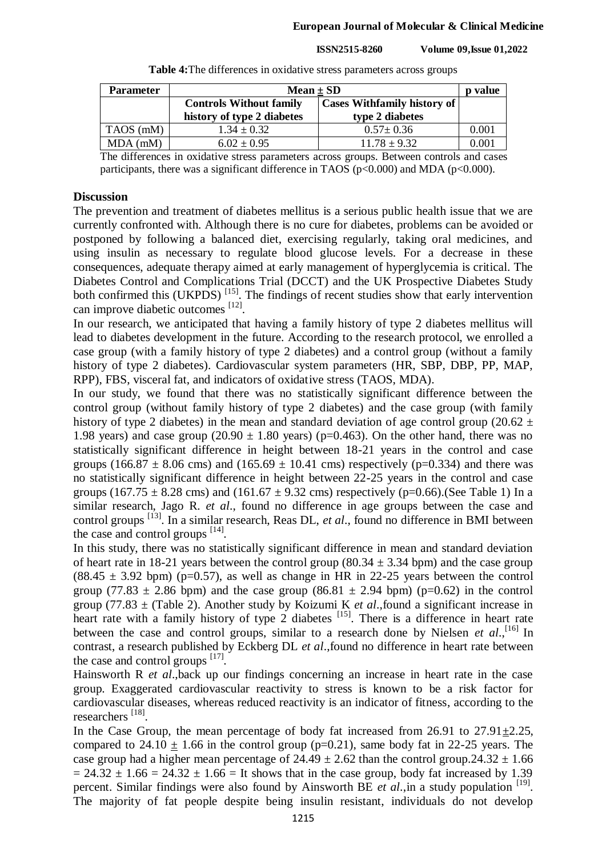| <b>Parameter</b> | Mean $\pm$ SD                  |                                    | value       |
|------------------|--------------------------------|------------------------------------|-------------|
|                  | <b>Controls Without family</b> | <b>Cases Withfamily history of</b> |             |
|                  | history of type 2 diabetes     | type 2 diabetes                    |             |
| TAOS (mM)        | $1.34 \pm 0.32$                | $0.57 \pm 0.36$                    | 0.001       |
| $MDA$ (mM)       | $6.02 \pm 0.95$                | $11.78 \pm 9.32$                   | $\rm 0.001$ |

**Table 4:**The differences in oxidative stress parameters across groups

The differences in oxidative stress parameters across groups. Between controls and cases participants, there was a significant difference in TAOS ( $p<0.000$ ) and MDA ( $p<0.000$ ).

#### **Discussion**

The prevention and treatment of diabetes mellitus is a serious public health issue that we are currently confronted with. Although there is no cure for diabetes, problems can be avoided or postponed by following a balanced diet, exercising regularly, taking oral medicines, and using insulin as necessary to regulate blood glucose levels. For a decrease in these consequences, adequate therapy aimed at early management of hyperglycemia is critical. The Diabetes Control and Complications Trial (DCCT) and the UK Prospective Diabetes Study both confirmed this (UKPDS)<sup>[15]</sup>. The findings of recent studies show that early intervention can improve diabetic outcomes [12].

In our research, we anticipated that having a family history of type 2 diabetes mellitus will lead to diabetes development in the future. According to the research protocol, we enrolled a case group (with a family history of type 2 diabetes) and a control group (without a family history of type 2 diabetes). Cardiovascular system parameters (HR, SBP, DBP, PP, MAP, RPP), FBS, visceral fat, and indicators of oxidative stress (TAOS, MDA).

In our study, we found that there was no statistically significant difference between the control group (without family history of type 2 diabetes) and the case group (with family history of type 2 diabetes) in the mean and standard deviation of age control group (20.62  $\pm$ 1.98 years) and case group  $(20.90 \pm 1.80$  years) (p=0.463). On the other hand, there was no statistically significant difference in height between 18-21 years in the control and case groups (166.87  $\pm$  8.06 cms) and (165.69  $\pm$  10.41 cms) respectively (p=0.334) and there was no statistically significant difference in height between 22-25 years in the control and case groups (167.75  $\pm$  8.28 cms) and (161.67  $\pm$  9.32 cms) respectively (p=0.66).(See Table 1) In a similar research, Jago R. *et al*., found no difference in age groups between the case and control groups<sup>[13]</sup>. In a similar research, Reas DL, et al., found no difference in BMI between the case and control groups  $[14]$ .

In this study, there was no statistically significant difference in mean and standard deviation of heart rate in 18-21 years between the control group (80.34  $\pm$  3.34 bpm) and the case group  $(88.45 \pm 3.92 \text{ bpm})$  (p=0.57), as well as change in HR in 22-25 years between the control group (77.83  $\pm$  2.86 bpm) and the case group (86.81  $\pm$  2.94 bpm) (p=0.62) in the control group (77.83 ± (Table 2). Another study by Koizumi K *et al*.,found a significant increase in heart rate with a family history of type 2 diabetes [15]. There is a difference in heart rate between the case and control groups, similar to a research done by Nielsen *et al.*,<sup>[16]</sup> In contrast, a research published by Eckberg DL *et al*.,found no difference in heart rate between the case and control groups  $^{[17]}$ .

Hainsworth R *et al*.,back up our findings concerning an increase in heart rate in the case group. Exaggerated cardiovascular reactivity to stress is known to be a risk factor for cardiovascular diseases, whereas reduced reactivity is an indicator of fitness, according to the researchers [18].

In the Case Group, the mean percentage of body fat increased from  $26.91$  to  $27.91 \pm 2.25$ , compared to 24.10  $\pm$  1.66 in the control group (p=0.21), same body fat in 22-25 years. The case group had a higher mean percentage of  $24.49 \pm 2.62$  than the control group.24.32  $\pm$  1.66  $= 24.32 \pm 1.66 = 24.32 \pm 1.66 =$  It shows that in the case group, body fat increased by 1.39 percent. Similar findings were also found by Ainsworth BE *et al.*, in a study population <sup>[19]</sup>. The majority of fat people despite being insulin resistant, individuals do not develop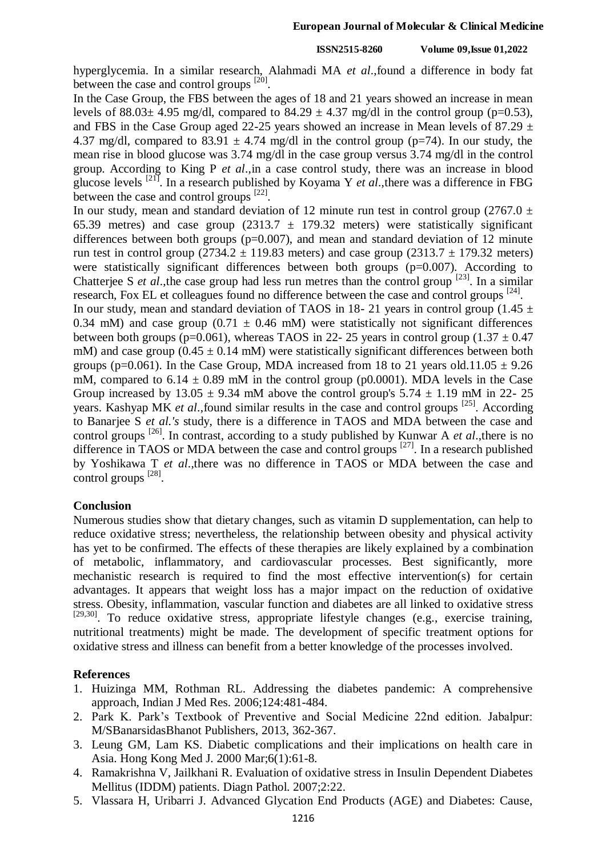hyperglycemia. In a similar research, Alahmadi MA *et al*.,found a difference in body fat between the case and control groups  $^{[20]}$ .

In the Case Group, the FBS between the ages of 18 and 21 years showed an increase in mean levels of 88.03 $\pm$  4.95 mg/dl, compared to 84.29  $\pm$  4.37 mg/dl in the control group (p=0.53), and FBS in the Case Group aged 22-25 years showed an increase in Mean levels of 87.29  $\pm$ 4.37 mg/dl, compared to 83.91  $\pm$  4.74 mg/dl in the control group (p=74). In our study, the mean rise in blood glucose was 3.74 mg/dl in the case group versus 3.74 mg/dl in the control group. According to King P *et al*.,in a case control study, there was an increase in blood glucose levels [21] . In a research published by Koyama Y *et al*.,there was a difference in FBG between the case and control groups [22].

In our study, mean and standard deviation of 12 minute run test in control group (2767.0  $\pm$ 65.39 metres) and case group (2313.7  $\pm$  179.32 meters) were statistically significant differences between both groups  $(p=0.007)$ , and mean and standard deviation of 12 minute run test in control group (2734.2  $\pm$  119.83 meters) and case group (2313.7  $\pm$  179.32 meters) were statistically significant differences between both groups (p=0.007). According to Chatterjee S *et al.*, the case group had less run metres than the control group <sup>[23]</sup>. In a similar research, Fox EL et colleagues found no difference between the case and control groups <sup>[24]</sup>.

In our study, mean and standard deviation of TAOS in 18- 21 years in control group (1.45  $\pm$ 0.34 mM) and case group (0.71  $\pm$  0.46 mM) were statistically not significant differences between both groups (p=0.061), whereas TAOS in 22- 25 years in control group (1.37  $\pm$  0.47 mM) and case group  $(0.45 \pm 0.14 \text{ mM})$  were statistically significant differences between both groups (p=0.061). In the Case Group, MDA increased from 18 to 21 years old.11.05  $\pm$  9.26 mM, compared to  $6.14 \pm 0.89$  mM in the control group (p0.0001). MDA levels in the Case Group increased by  $13.05 \pm 9.34$  mM above the control group's  $5.74 \pm 1.19$  mM in 22-25 years. Kashyap MK *et al.*, found similar results in the case and control groups <sup>[25]</sup>. According to Banarjee S *et al.'s* study, there is a difference in TAOS and MDA between the case and control groups [26] . In contrast, according to a study published by Kunwar A *et al*.,there is no difference in TAOS or MDA between the case and control groups  $[27]$ . In a research published by Yoshikawa T *et al*.,there was no difference in TAOS or MDA between the case and control groups  $^{[28]}$ .

#### **Conclusion**

Numerous studies show that dietary changes, such as vitamin D supplementation, can help to reduce oxidative stress; nevertheless, the relationship between obesity and physical activity has yet to be confirmed. The effects of these therapies are likely explained by a combination of metabolic, inflammatory, and cardiovascular processes. Best significantly, more mechanistic research is required to find the most effective intervention(s) for certain advantages. It appears that weight loss has a major impact on the reduction of oxidative stress. Obesity, inflammation, vascular function and diabetes are all linked to oxidative stress  $[29,30]$ . To reduce oxidative stress, appropriate lifestyle changes (e.g., exercise training, nutritional treatments) might be made. The development of specific treatment options for oxidative stress and illness can benefit from a better knowledge of the processes involved.

## **References**

- 1. Huizinga MM, Rothman RL. Addressing the diabetes pandemic: A comprehensive approach, Indian J Med Res. 2006;124:481-484.
- 2. Park K. Park's Textbook of Preventive and Social Medicine 22nd edition. Jabalpur: M/SBanarsidasBhanot Publishers, 2013, 362-367.
- 3. Leung GM, Lam KS. Diabetic complications and their implications on health care in Asia. Hong Kong Med J. 2000 Mar;6(1):61-8.
- 4. Ramakrishna V, Jailkhani R. Evaluation of oxidative stress in Insulin Dependent Diabetes Mellitus (IDDM) patients. Diagn Pathol. 2007;2:22.
- 5. Vlassara H, Uribarri J. Advanced Glycation End Products (AGE) and Diabetes: Cause,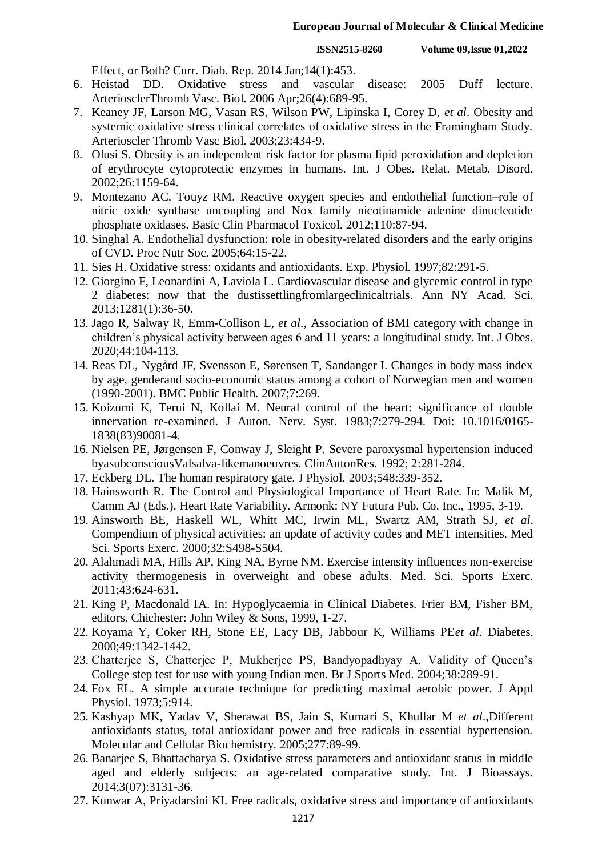Effect, or Both? Curr. Diab. Rep. 2014 Jan;14(1):453.

- 6. Heistad DD. Oxidative stress and vascular disease: 2005 Duff lecture. ArteriosclerThromb Vasc. Biol. 2006 Apr;26(4):689-95.
- 7. Keaney JF, Larson MG, Vasan RS, Wilson PW, Lipinska I, Corey D, *et al*. Obesity and systemic oxidative stress clinical correlates of oxidative stress in the Framingham Study. Arterioscler Thromb Vasc Biol. 2003;23:434-9.
- 8. Olusi S. Obesity is an independent risk factor for plasma lipid peroxidation and depletion of erythrocyte cytoprotectic enzymes in humans. Int. J Obes. Relat. Metab. Disord. 2002;26:1159-64.
- 9. Montezano AC, Touyz RM. Reactive oxygen species and endothelial function–role of nitric oxide synthase uncoupling and Nox family nicotinamide adenine dinucleotide phosphate oxidases. Basic Clin Pharmacol Toxicol. 2012;110:87-94.
- 10. Singhal A. Endothelial dysfunction: role in obesity-related disorders and the early origins of CVD. Proc Nutr Soc. 2005;64:15-22.
- 11. Sies H. Oxidative stress: oxidants and antioxidants. Exp. Physiol. 1997;82:291-5.
- 12. Giorgino F, Leonardini A, Laviola L. Cardiovascular disease and glycemic control in type 2 diabetes: now that the dustissettlingfromlargeclinicaltrials. Ann NY Acad. Sci. 2013;1281(1):36-50.
- 13. Jago R, Salway R, Emm-Collison L, *et al*., Association of BMI category with change in children's physical activity between ages 6 and 11 years: a longitudinal study. Int. J Obes. 2020;44:104-113.
- 14. Reas DL, Nygård JF, Svensson E, Sørensen T, Sandanger I. Changes in body mass index by age, genderand socio-economic status among a cohort of Norwegian men and women (1990-2001). BMC Public Health. 2007;7:269.
- 15. Koizumi K, Terui N, Kollai M. Neural control of the heart: significance of double innervation re-examined. J Auton. Nerv. Syst. 1983;7:279-294. Doi: 10.1016/0165- 1838(83)90081-4.
- 16. Nielsen PE, Jørgensen F, Conway J, Sleight P. Severe paroxysmal hypertension induced byasubconsciousValsalva-likemanoeuvres. ClinAutonRes. 1992; 2:281-284.
- 17. Eckberg DL. The human respiratory gate. J Physiol. 2003;548:339-352.
- 18. Hainsworth R. The Control and Physiological Importance of Heart Rate. In: Malik M, Camm AJ (Eds.). Heart Rate Variability. Armonk: NY Futura Pub. Co. Inc., 1995, 3-19.
- 19. Ainsworth BE, Haskell WL, Whitt MC, Irwin ML, Swartz AM, Strath SJ, *et al*. Compendium of physical activities: an update of activity codes and MET intensities. Med Sci. Sports Exerc. 2000;32:S498-S504.
- 20. Alahmadi MA, Hills AP, King NA, Byrne NM. Exercise intensity influences non-exercise activity thermogenesis in overweight and obese adults. Med. Sci. Sports Exerc. 2011;43:624-631.
- 21. King P, Macdonald IA. In: Hypoglycaemia in Clinical Diabetes. Frier BM, Fisher BM, editors. Chichester: John Wiley & Sons, 1999, 1-27.
- 22. Koyama Y, Coker RH, Stone EE, Lacy DB, Jabbour K, Williams PE*et al*. Diabetes. 2000;49:1342-1442.
- 23. Chatterjee S, Chatterjee P, Mukherjee PS, Bandyopadhyay A. Validity of Queen's College step test for use with young Indian men. Br J Sports Med. 2004;38:289-91.
- 24. Fox EL. A simple accurate technique for predicting maximal aerobic power. J Appl Physiol. 1973;5:914.
- 25. Kashyap MK, Yadav V, Sherawat BS, Jain S, Kumari S, Khullar M *et al*.,Different antioxidants status, total antioxidant power and free radicals in essential hypertension. Molecular and Cellular Biochemistry. 2005;277:89-99.
- 26. Banarjee S, Bhattacharya S. Oxidative stress parameters and antioxidant status in middle aged and elderly subjects: an age-related comparative study. Int. J Bioassays. 2014;3(07):3131-36.
- 27. Kunwar A, Priyadarsini KI. Free radicals, oxidative stress and importance of antioxidants